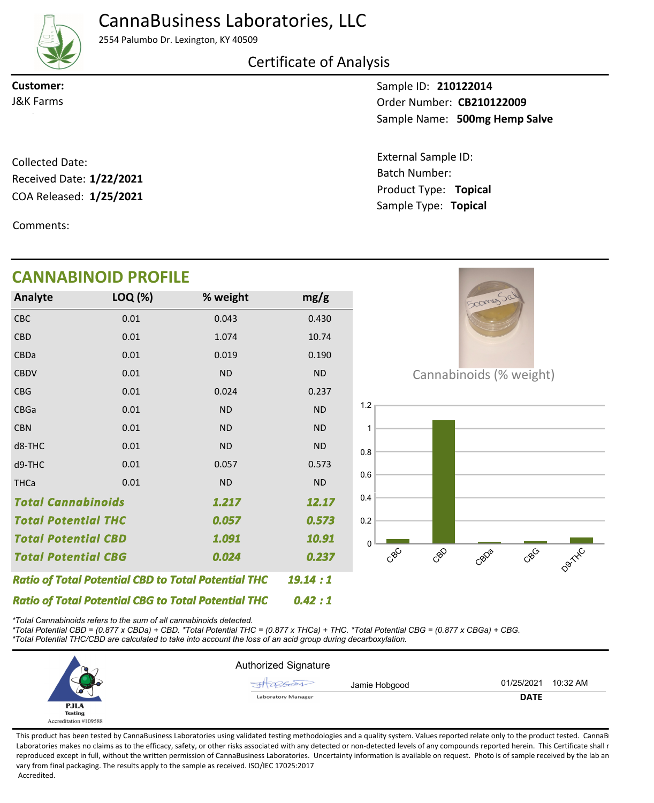CannaBusiness Laboratories, LLC

2554 Palumbo Dr. Lexington, KY 40509

Certificate of Analysis

**Customer:**

Sample ID: **210122014** Sample Name: 500mg Hemp Salve **CB210122009** J&K Farms Order Number:

> Product Type: **Topical 1/25/2021** Batch Number: External Sample ID: Sample Type: **Topical**

COA Released: Collected Date: Received Date: **1/22/2021**

Comments:

## **CANNABINOID PROFILE Analyte LOQ (%) mg/g % weight**  $2000$ CBC 0.01 0.043 0.430 CBD 0.01 1.074 10.74 CBDa 0.01 0.019 0.190 **CBDV** 0.01 ND ND Cannabinoids (% weight) CBG 0.01 0.024 0.237 1.2 CBGa 0.01 ND ND CBN 0.01 ND ND 1 d8-THC 0.01 ND ND 0.8 d9-THC 0.01 0.057 0.573 0.6 0.01 **THCa** ND ND 0.4 *Total Cannabinoids 12.17 1.217 Total Potential THC 0.057 0.573* 0.2 *Total Potential CBD 1.091 10.91*  $\Omega$ CBD CBDa D9TXC CBG  $c^{\circledS}$ *Total Potential CBG 0.024 0.237 Ratio of Total Potential CBD to Total Potential THC 19.14 : 1 Ratio of Total Potential CBG to Total Potential THC 0.42 : 1*

*\*Total Cannabinoids refers to the sum of all cannabinoids detected.*

*\*Total Potential CBD = (0.877 x CBDa) + CBD. \*Total Potential THC = (0.877 x THCa) + THC. \*Total Potential CBG = (0.877 x CBGa) + CBG. \*Total Potential THC/CBD are calculated to take into account the loss of an acid group during decarboxylation.*



This product has been tested by CannaBusiness Laboratories using validated testing methodologies and a quality system. Values reported relate only to the product tested. CannaB Laboratories makes no claims as to the efficacy, safety, or other risks associated with any detected or non-detected levels of any compounds reported herein. This Certificate shall r reproduced except in full, without the written permission of CannaBusiness Laboratories. Uncertainty information is available on request. Photo is of sample received by the lab an vary from final packaging. The results apply to the sample as received. ISO/IEC 17025:2017 Accredited.